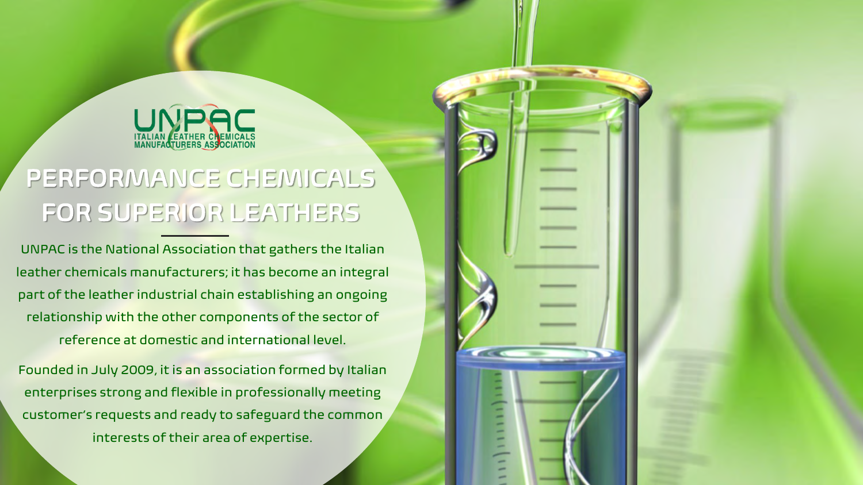

# PERFORMANCE CHEMICALS FOR SUPERIOR LEATHERS

UNPAC is the National Association that gathers the Italian leather chemicals manufacturers; it has become an integral part of the leather industrial chain establishing an ongoing relationship with the other components of the sector of reference at domestic and international level.

Founded in July 2009, it is an association formed by Italian enterprises strong and flexible in professionally meeting customer's requests and ready to safeguard the common interests of their area of expertise.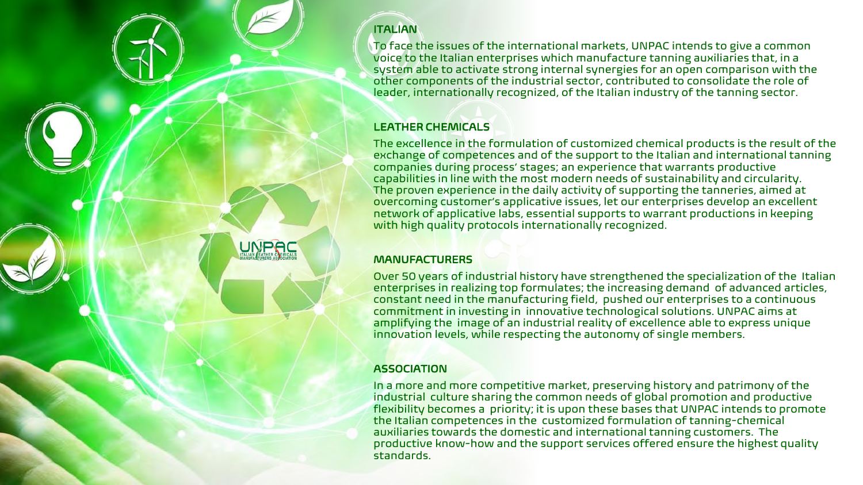#### **ITALIAN**

To face the issues of the international markets, UNPAC intends to give a common voice to the Italian enterprises which manufacture tanning auxiliaries that, in a system able to activate strong internal synergies for an open comparison with the other components of the industrial sector, contributed to consolidate the role of leader, internationally recognized, of the Italian industry of the tanning sector.

#### LEATHER CHEMICALS

The excellence in the formulation of customized chemical products is the result of the exchange of competences and of the support to the Italian and international tanning companies during process' stages; an experience that warrants productive capabilities in line with the most modern needs of sustainability and circularity. The proven experience in the daily activity of supporting the tanneries, aimed at overcoming customer's applicative issues, let our enterprises develop an excellent network of applicative labs, essential supports to warrant productions in keeping with high quality protocols internationally recognized.

#### **MANUFACTURERS**

Over 50 years of industrial history have strengthened the specialization of the Italian enterprises in realizing top formulates; the increasing demand of advanced articles, constant need in the manufacturing field, pushed our enterprises to a continuous commitment in investing in innovative technological solutions. UNPAC aims at amplifying the image of an industrial reality of excellence able to express unique innovation levels, while respecting the autonomy of single members.

#### **ASSOCIATION**

In a more and more competitive market, preserving history and patrimony of the industrial culture sharing the common needs of global promotion and productive flexibility becomes a priority; it is upon these bases that UNPAC intends to promote the Italian competences in the customized formulation of tanning-chemical auxiliaries towards the domestic and international tanning customers. The productive know-how and the support services offered ensure the highest quality standards.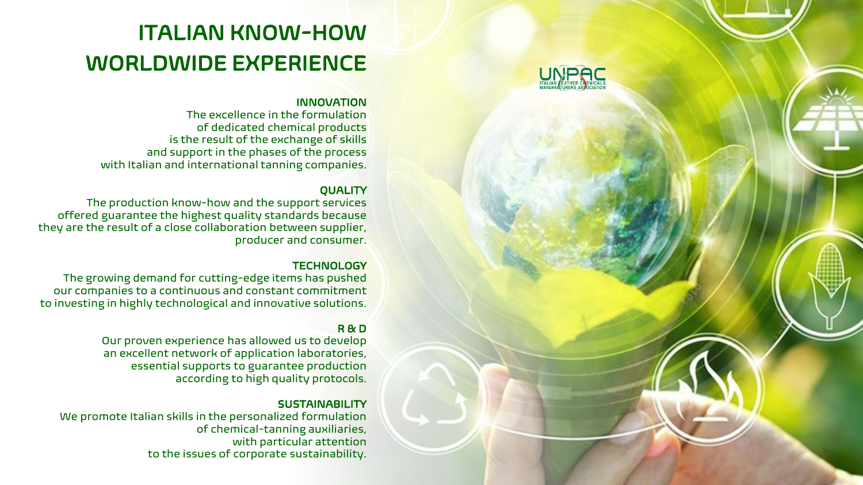

# ITALIAN KNOW-HOW WORLDWIDE EXPERIENCE

#### INNOVATION

The excellence in the formulation of dedicated chemical products is the result of the exchange of skills and support in the phases of the process with Italian and international tanning companies.

#### **QUALITY**

The production know-how and the support services offered guarantee the highest quality standards because they are the result of a close collaboration between supplier, producer and consumer.

#### **TECHNOLOGY**

The growing demand for cutting-edge items has pushed our companies to a continuous and constant commitment to investing in highly technological and innovative solutions.

#### R & D

Our proven experience has allowed us to develop an excellent network of application laboratories, essential supports to guarantee production according to high quality protocols.

#### **SUSTAINABILITY**

We promote Italian skills in the personalized formulation of chemical-tanning auxiliaries, with particular attention to the issues of corporate sustainability.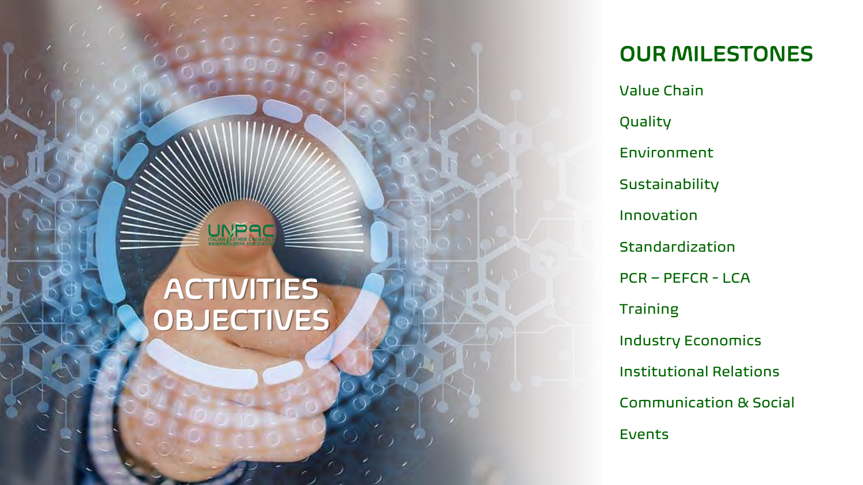

# ACTIVITIES **OBJECTIVES**

OUR MILESTONES

Value Chain Quality Environment Sustainability Innovation Standardization PCR – PEFCR - LCA Training Industry Economics Institutional Relations Communication & Social Events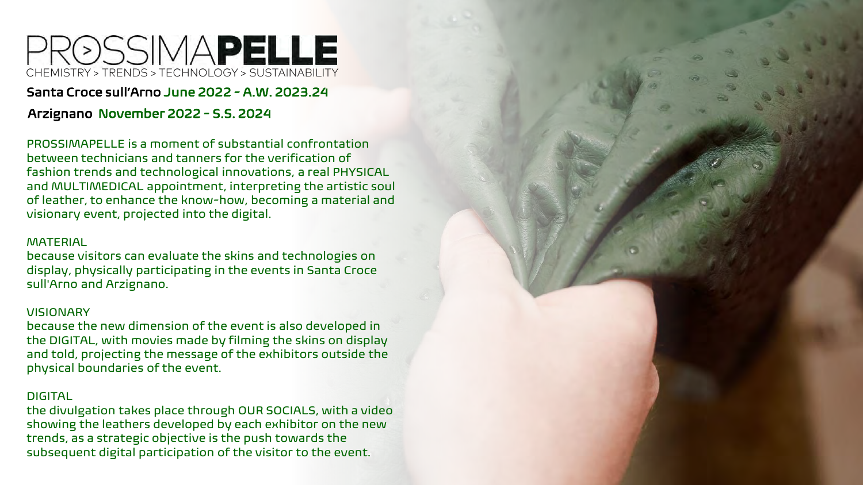# RØSSIMAPELLE CHEMISTRY > TRENDS > TECHNOLOGY > SUSTAINABILITY

#### Santa Croce sull'Arno June 2022 - A.W. 2023.24

#### Arzignano November 2022 - S.S. 2024

PROSSIMAPELLE is a moment of substantial confrontation between technicians and tanners for the verification of fashion trends and technological innovations, a real PHYSICAL and MULTIMEDICAL appointment, interpreting the artistic soul of leather, to enhance the know-how, becoming a material and visionary event, projected into the digital.

#### **MATERIAL**

because visitors can evaluate the skins and technologies on display, physically participating in the events in Santa Croce sull'Arno and Arzignano.

#### VISIONARY

because the new dimension of the event is also developed in the DIGITAL, with movies made by filming the skins on display and told, projecting the message of the exhibitors outside the physical boundaries of the event.

#### DIGITAL

the divulgation takes place through OUR SOCIALS, with a video showing the leathers developed by each exhibitor on the new trends, as a strategic objective is the push towards the subsequent digital participation of the visitor to the event.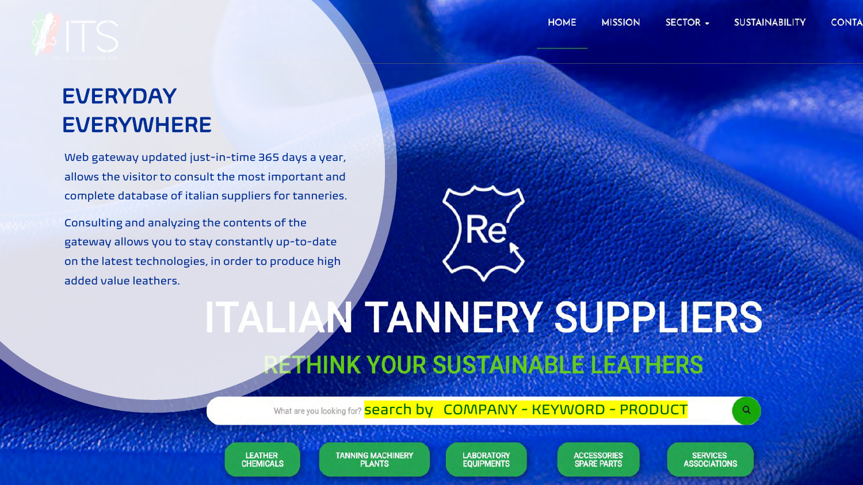# **EVERYDAY** EVERYWHERE

Web gateway updated just-in-time 365 days a year, allows the visitor to consult the most important and complete database of italian suppliers for tanneries.

Consulting and analyzing the contents of the gateway allows you to stay constantly up-to-date on the latest technologies, in order to produce high added value leathers.



# **ITALIAN TANNERY SUPPLIERS ETHINK YOUR SUSTAINABLE LEATHERS**

What are you looking for? **Search by COMPANY - KEYWORD - PRODUCT** 

**LEATHER CHEMICALS**  **TANNING MACHINERY PLANTS** 

**LABORATORY EQUIPMENTS** 

**ACCESSORIES SPARE PARTS** 

**SERVICES ASSOCIATIONS**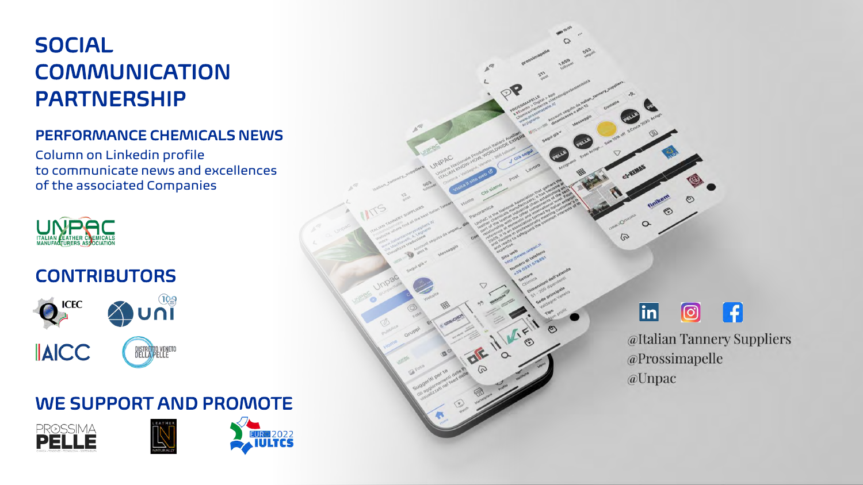# SOCIAL COMMUNICATION PARTNERSHIP

#### PERFORMANCE CHEMICALS NEWS

Column on Linkedin profile to communicate news and excellences of the associated Companies



# **CONTRIBUTORS**



## WE SUPPORT AND PROMOTE





# $\Omega$  $\varpi$  $|\mathbf{in}|$  $\boxed{\textcircled{\;}}$ @Prossimapelle @Unpac

# $\mathbf{f}$ @Italian Tannery Suppliers